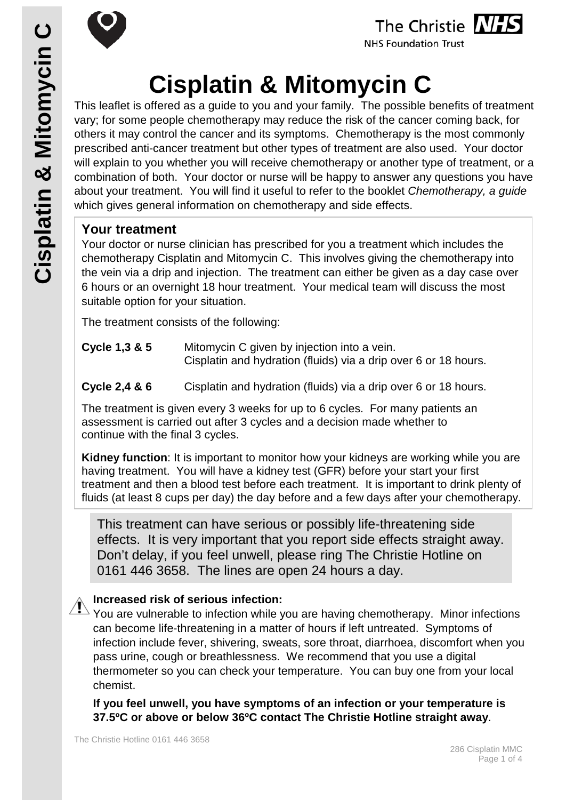

## The Christie NHS

**NHS Foundation Trust** 

# **Cisplatin & Mitomycin C**

This leaflet is offered as a guide to you and your family. The possible benefits of treatment vary; for some people chemotherapy may reduce the risk of the cancer coming back, for others it may control the cancer and its symptoms. Chemotherapy is the most commonly prescribed anti-cancer treatment but other types of treatment are also used. Your doctor will explain to you whether you will receive chemotherapy or another type of treatment, or a combination of both. Your doctor or nurse will be happy to answer any questions you have about your treatment. You will find it useful to refer to the booklet *Chemotherapy, a guide* which gives general information on chemotherapy and side effects.

#### **Your treatment**

Your doctor or nurse clinician has prescribed for you a treatment which includes the chemotherapy Cisplatin and Mitomycin C. This involves giving the chemotherapy into the vein via a drip and injection. The treatment can either be given as a day case over 6 hours or an overnight 18 hour treatment. Your medical team will discuss the most suitable option for your situation.

The treatment consists of the following:

- **Cycle 1,3 & 5** Mitomycin C given by injection into a vein. Cisplatin and hydration (fluids) via a drip over 6 or 18 hours.
- **Cycle 2,4 & 6** Cisplatin and hydration (fluids) via a drip over 6 or 18 hours.

The treatment is given every 3 weeks for up to 6 cycles. For many patients an assessment is carried out after 3 cycles and a decision made whether to continue with the final 3 cycles.

**Kidney function**: It is important to monitor how your kidneys are working while you are having treatment. You will have a kidney test (GFR) before your start your first treatment and then a blood test before each treatment. It is important to drink plenty of fluids (at least 8 cups per day) the day before and a few days after your chemotherapy.

This treatment can have serious or possibly life-threatening side effects. It is very important that you report side effects straight away. Don't delay, if you feel unwell, please ring The Christie Hotline on 0161 446 3658. The lines are open 24 hours a day.

#### **Increased risk of serious infection:**

You are vulnerable to infection while you are having chemotherapy. Minor infections can become life-threatening in a matter of hours if left untreated. Symptoms of infection include fever, shivering, sweats, sore throat, diarrhoea, discomfort when you pass urine, cough or breathlessness. We recommend that you use a digital thermometer so you can check your temperature. You can buy one from your local chemist.

**If you feel unwell, you have symptoms of an infection or your temperature is 37.5ºC or above or below 36ºC contact The Christie Hotline straight away**.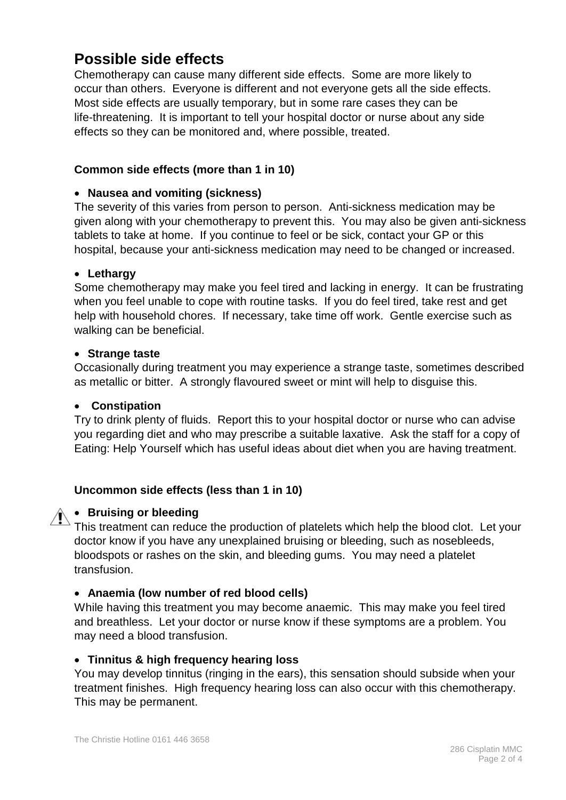## **Possible side effects**

Chemotherapy can cause many different side effects. Some are more likely to occur than others. Everyone is different and not everyone gets all the side effects. Most side effects are usually temporary, but in some rare cases they can be life-threatening. It is important to tell your hospital doctor or nurse about any side effects so they can be monitored and, where possible, treated.

#### **Common side effects (more than 1 in 10)**

#### • **Nausea and vomiting (sickness)**

The severity of this varies from person to person. Anti-sickness medication may be given along with your chemotherapy to prevent this. You may also be given anti-sickness tablets to take at home. If you continue to feel or be sick, contact your GP or this hospital, because your anti-sickness medication may need to be changed or increased.

#### • **Lethargy**

Some chemotherapy may make you feel tired and lacking in energy. It can be frustrating when you feel unable to cope with routine tasks. If you do feel tired, take rest and get help with household chores. If necessary, take time off work. Gentle exercise such as walking can be beneficial.

#### • **Strange taste**

Occasionally during treatment you may experience a strange taste, sometimes described as metallic or bitter. A strongly flavoured sweet or mint will help to disguise this.

#### • **Constipation**

Try to drink plenty of fluids. Report this to your hospital doctor or nurse who can advise you regarding diet and who may prescribe a suitable laxative. Ask the staff for a copy of Eating: Help Yourself which has useful ideas about diet when you are having treatment.

#### **Uncommon side effects (less than 1 in 10)**

#### • **Bruising or bleeding**

This treatment can reduce the production of platelets which help the blood clot. Let your doctor know if you have any unexplained bruising or bleeding, such as nosebleeds, bloodspots or rashes on the skin, and bleeding gums. You may need a platelet transfusion.

#### • **Anaemia (low number of red blood cells)**

While having this treatment you may become anaemic. This may make you feel tired and breathless. Let your doctor or nurse know if these symptoms are a problem. You may need a blood transfusion.

#### • **Tinnitus & high frequency hearing loss**

You may develop tinnitus (ringing in the ears), this sensation should subside when your treatment finishes. High frequency hearing loss can also occur with this chemotherapy. This may be permanent.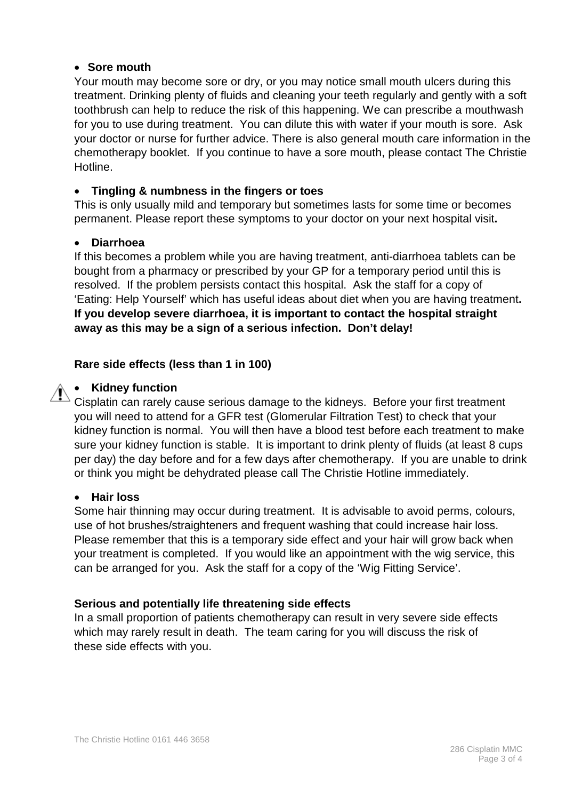#### • **Sore mouth**

Your mouth may become sore or dry, or you may notice small mouth ulcers during this treatment. Drinking plenty of fluids and cleaning your teeth regularly and gently with a soft toothbrush can help to reduce the risk of this happening. We can prescribe a mouthwash for you to use during treatment. You can dilute this with water if your mouth is sore. Ask your doctor or nurse for further advice. There is also general mouth care information in the chemotherapy booklet. If you continue to have a sore mouth, please contact The Christie Hotline.

#### • **Tingling & numbness in the fingers or toes**

This is only usually mild and temporary but sometimes lasts for some time or becomes permanent. Please report these symptoms to your doctor on your next hospital visit**.**

#### • **Diarrhoea**

If this becomes a problem while you are having treatment, anti-diarrhoea tablets can be bought from a pharmacy or prescribed by your GP for a temporary period until this is resolved. If the problem persists contact this hospital. Ask the staff for a copy of 'Eating: Help Yourself' which has useful ideas about diet when you are having treatment**. If you develop severe diarrhoea, it is important to contact the hospital straight away as this may be a sign of a serious infection. Don't delay!**

#### **Rare side effects (less than 1 in 100)**

#### • **Kidney function**

Cisplatin can rarely cause serious damage to the kidneys. Before your first treatment you will need to attend for a GFR test (Glomerular Filtration Test) to check that your kidney function is normal. You will then have a blood test before each treatment to make sure your kidney function is stable. It is important to drink plenty of fluids (at least 8 cups per day) the day before and for a few days after chemotherapy. If you are unable to drink or think you might be dehydrated please call The Christie Hotline immediately.

#### • **Hair loss**

Some hair thinning may occur during treatment. It is advisable to avoid perms, colours, use of hot brushes/straighteners and frequent washing that could increase hair loss. Please remember that this is a temporary side effect and your hair will grow back when your treatment is completed. If you would like an appointment with the wig service, this can be arranged for you. Ask the staff for a copy of the 'Wig Fitting Service'.

#### **Serious and potentially life threatening side effects**

In a small proportion of patients chemotherapy can result in very severe side effects which may rarely result in death. The team caring for you will discuss the risk of these side effects with you.